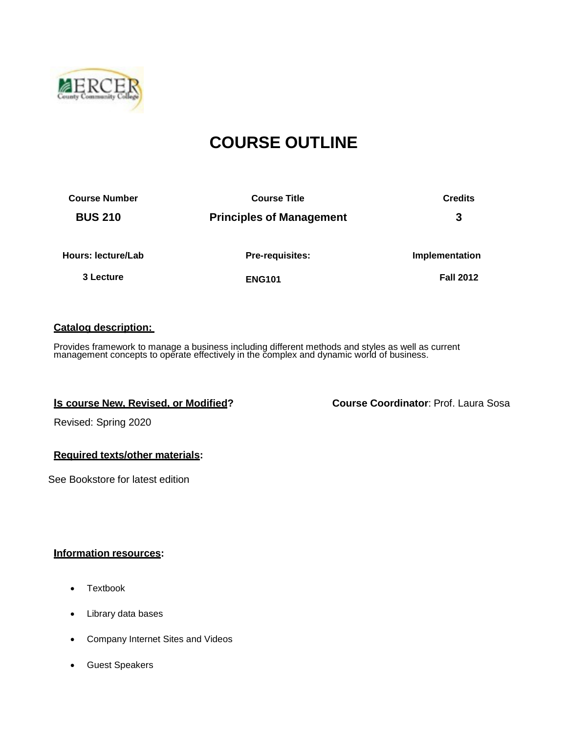

# **COURSE OUTLINE**

| <b>Course Number</b> | <b>Course Title</b>             | <b>Credits</b>   |  |
|----------------------|---------------------------------|------------------|--|
| <b>BUS 210</b>       | <b>Principles of Management</b> | 3                |  |
| Hours: lecture/Lab   | Pre-requisites:                 | Implementation   |  |
| 3 Lecture            | <b>ENG101</b>                   | <b>Fall 2012</b> |  |

#### **Catalog description:**

Provides framework to manage a business including different methods and styles as well as current management concepts to operate effectively in the complex and dynamic world of business.

**Is course New, Revised, or Modified? Course Coordinator**: Prof. Laura Sosa

Revised: Spring 2020

#### **Required texts/other materials:**

See Bookstore for latest edition

#### **Information resources:**

- Textbook
- Library data bases
- Company Internet Sites and Videos
- Guest Speakers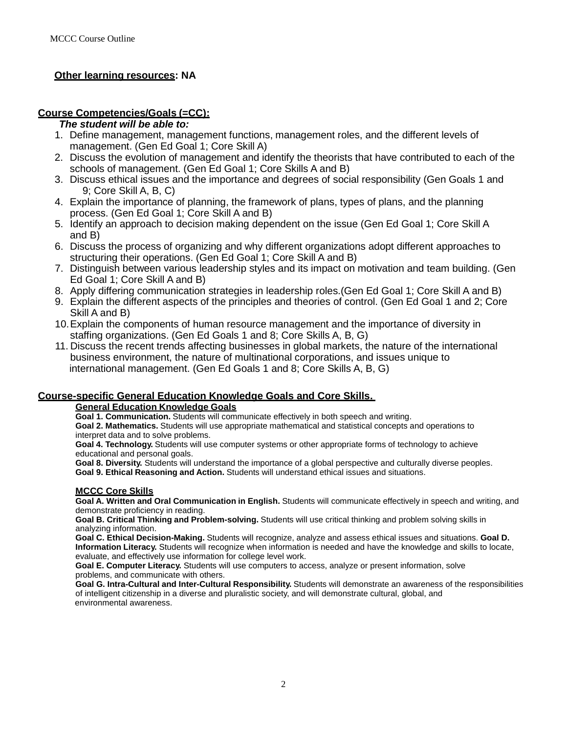#### **Other learning resources: NA**

#### **Course Competencies/Goals (=CC):**

#### *The student will be able to:*

- 1. Define management, management functions, management roles, and the different levels of management. (Gen Ed Goal 1; Core Skill A)
- 2. Discuss the evolution of management and identify the theorists that have contributed to each of the schools of management. (Gen Ed Goal 1; Core Skills A and B)
- 3. Discuss ethical issues and the importance and degrees of social responsibility (Gen Goals 1 and 9; Core Skill A, B, C)
- 4. Explain the importance of planning, the framework of plans, types of plans, and the planning process. (Gen Ed Goal 1; Core Skill A and B)
- 5. Identify an approach to decision making dependent on the issue (Gen Ed Goal 1; Core Skill A and B)
- 6. Discuss the process of organizing and why different organizations adopt different approaches to structuring their operations. (Gen Ed Goal 1; Core Skill A and B)
- 7. Distinguish between various leadership styles and its impact on motivation and team building. (Gen Ed Goal 1; Core Skill A and B)
- 8. Apply differing communication strategies in leadership roles.(Gen Ed Goal 1; Core Skill A and B)
- 9. Explain the different aspects of the principles and theories of control. (Gen Ed Goal 1 and 2; Core Skill A and B)
- 10.Explain the components of human resource management and the importance of diversity in staffing organizations. (Gen Ed Goals 1 and 8; Core Skills A, B, G)
- 11. Discuss the recent trends affecting businesses in global markets, the nature of the international business environment, the nature of multinational corporations, and issues unique to international management. (Gen Ed Goals 1 and 8; Core Skills A, B, G)

#### **Course-specific General Education Knowledge Goals and Core Skills.**

#### **General Education Knowledge Goals**

**Goal 1. Communication.** Students will communicate effectively in both speech and writing.

**Goal 2. Mathematics.** Students will use appropriate mathematical and statistical concepts and operations to interpret data and to solve problems.

**Goal 4. Technology.** Students will use computer systems or other appropriate forms of technology to achieve educational and personal goals.

**Goal 8. Diversity.** Students will understand the importance of a global perspective and culturally diverse peoples. **Goal 9. Ethical Reasoning and Action.** Students will understand ethical issues and situations.

#### **MCCC Core Skills**

**Goal A. Written and Oral Communication in English.** Students will communicate effectively in speech and writing, and demonstrate proficiency in reading.

**Goal B. Critical Thinking and Problem-solving.** Students will use critical thinking and problem solving skills in analyzing information.

**Goal C. Ethical Decision-Making.** Students will recognize, analyze and assess ethical issues and situations. **Goal D. Information Literacy.** Students will recognize when information is needed and have the knowledge and skills to locate, evaluate, and effectively use information for college level work.

**Goal E. Computer Literacy.** Students will use computers to access, analyze or present information, solve problems, and communicate with others.

**Goal G. Intra-Cultural and Inter-Cultural Responsibility.** Students will demonstrate an awareness of the responsibilities of intelligent citizenship in a diverse and pluralistic society, and will demonstrate cultural, global, and environmental awareness.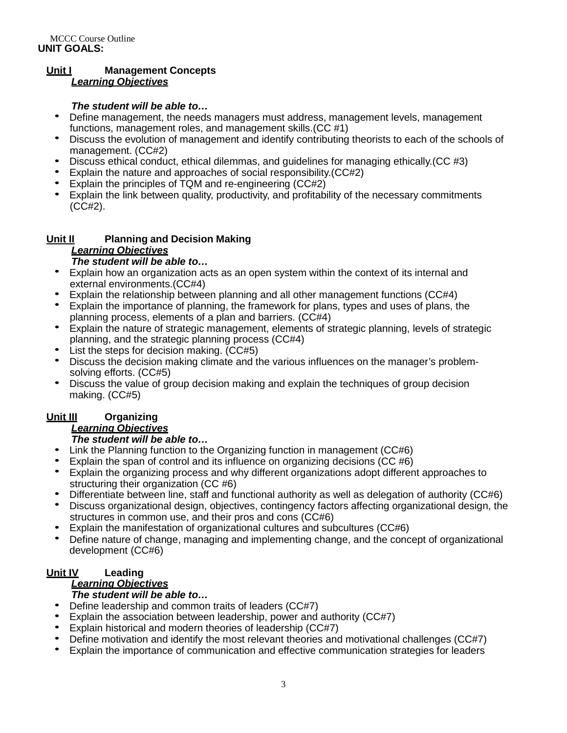#### **Unit I Management Concepts** *Learning Objectives*

- **The student will be able to...**<br>• Define management, the needs managers must address, management levels, management functions, management roles, and management skills.(CC #1)
- Discuss the evolution of management and identify contributing theorists to each of the schools of
- management. (CC#2)<br>
 Discuss ethical conduct, ethical dilemmas, and guidelines for managing ethically. (CC #3)<br>
 Explain the nature and approaches of social responsibility. (CC#2)<br>
 Explain the principles of TQM and re-
- 
- 
- (CC#2).

# **Unit II Planning and Decision Making** *Learning Objectives*

- Explain how an organization acts as an open system within the context of its internal and
- 
- external environments.(CC#4)<br>
 Explain the relationship between planning and all other management functions (CC#4)<br>
 Explain the importance of planning, the framework for plans, types and uses of plans, the<br>
planning pro
- Explain the nature of strategic management, elements of strategic planning, levels of strategic
- 
- planning, and the strategic planning process (CC#4)<br>
 List the steps for decision making. (CC#5)<br>
 Discuss the decision making climate and the various influences on the manager's problem-<br>
solving efforts. (CC#5)
- Discuss the value of group decision making and explain the techniques of group decision making. (CC#5)

# **Unit III Organizing**

## *Learning Objectives*

- *The student will be able to...*<br>• Link the Planning function to the Organizing function in management (CC#6)
- 
- Explain the span of control and its influence on organizing decisions (CC #6)<br>• Explain the organizing process and why different organizations adopt different approaches to
- 
- structuring their organization (CC #6)<br>
 Differentiate between line, staff and functional authority as well as delegation of authority (CC#6)<br>
 Discuss organizational design, objectives, contingency factors affecting org
- 
- Explain the manifestation of organizational cultures and subcultures (CC#6)<br>• Define nature of change, managing and implementing change, and the concept of organizational development (CC#6)

# **Unit IV Leading**

# *Learning Objectives*

- **The student will be able to...** Define leadership and common traits of leaders (CC#7)
- 
- 
- Explain the association between leadership, power and authority (CC#7)<br>• Explain historical and modern theories of leadership (CC#7)<br>• Define motivation and identify the most relevant theories and motivational challenges
-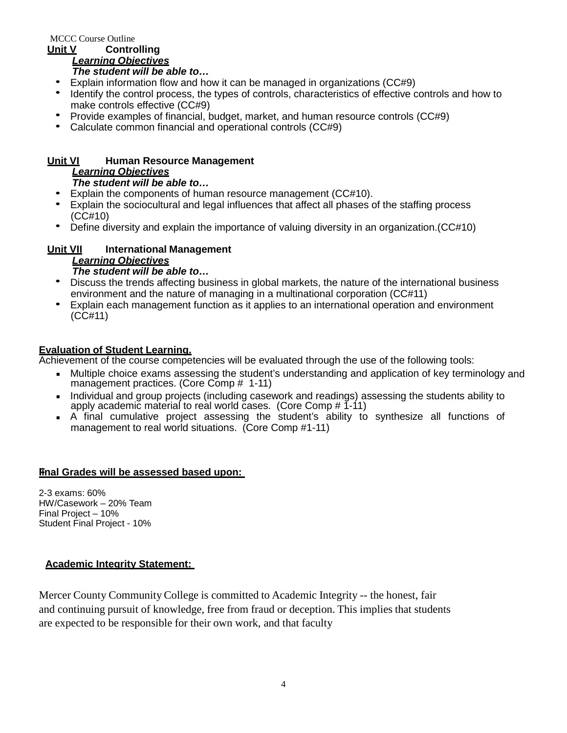MCCC Course Outline

#### **Unit V Controlling** *Learning Objectives*

- *The student will be able to...*<br>• Explain information flow and how it can be managed in organizations (CC#9)
- Identify the control process, the types of controls, characteristics of effective controls and how to
- make controls effective (CC#9)<br>
 Provide examples of financial, budget, market, and human resource controls (CC#9)<br>
 Calculate common financial and operational controls (CC#9)
- 

# **Unit VI Human Resource Management** *Learning Objectives*

- 
- *The student will be able to...*<br>Explain the components of human resource management (CC#10).
- Explain the components of human resource management (CC#10).<br>• Explain the sociocultural and legal influences that affect all phases of the staffing process (CC#10) • Define diversity and explain the importance of valuing diversity in an organization.(CC#10)
- 

# **Unit VII International Management**

# *Learning Objectives*

- *The student will be able to…* Discuss the trends affecting business in global markets, the nature of the international business
- environment and the nature of managing in a multinational corporation (CC#11) Explain each management function as it applies to an international operation and environment (CC#11)

#### **Evaluation of Student Learning.**

Achievement of the course competencies will be evaluated through the use of the following tools:

- Multiple choice exams assessing the student's understanding and application of key terminology and management practices. (Core Comp # 1-11)
- Individual and group projects (including casework and readings) assessing the students ability to apply academic material to real world cases. (Core Comp # 1-11)
- A final cumulative project assessing the student's ability to synthesize all functions of management to real world situations. (Core Comp #1-11)

## **Fiinal Grades will be assessed based upon:**

2-3 exams: 60% HW/Casework – 20% Team Final Project – 10% Student Final Project - 10%

## **Academic Integrity Statement:**

Mercer County Community College is committed to Academic Integrity -- the honest, fair and continuing pursuit of knowledge, free from fraud or deception. This implies that students are expected to be responsible for their own work, and that faculty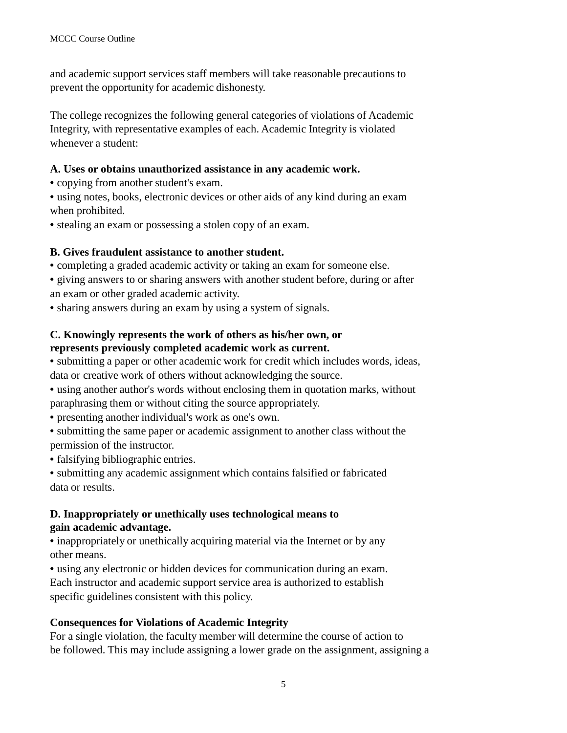and academic support services staff members will take reasonable precautions to prevent the opportunity for academic dishonesty.

The college recognizes the following general categories of violations of Academic Integrity, with representative examples of each. Academic Integrity is violated whenever a student:

#### **A. Uses or obtains unauthorized assistance in any academic work.**

• copying from another student's exam.

• using notes, books, electronic devices or other aids of any kind during an exam when prohibited.

• stealing an exam or possessing a stolen copy of an exam.

## **B. Gives fraudulent assistance to another student.**

• completing a graded academic activity or taking an exam for someone else.

• giving answers to or sharing answers with another student before, during or after an exam or other graded academic activity.

• sharing answers during an exam by using a system of signals.

#### **C. Knowingly represents the work of others as his/her own, or represents previously completed academic work as current.**

• submitting a paper or other academic work for credit which includes words, ideas, data or creative work of others without acknowledging the source.

• using another author's words without enclosing them in quotation marks, without paraphrasing them or without citing the source appropriately.

• presenting another individual's work as one's own.

• submitting the same paper or academic assignment to another class without the permission of the instructor.

• falsifying bibliographic entries.

• submitting any academic assignment which contains falsified or fabricated data or results.

## **D. Inappropriately or unethically uses technological means to gain academic advantage.**

• inappropriately or unethically acquiring material via the Internet or by any other means.

• using any electronic or hidden devices for communication during an exam. Each instructor and academic support service area is authorized to establish specific guidelines consistent with this policy.

## **Consequences for Violations of Academic Integrity**

For a single violation, the faculty member will determine the course of action to be followed. This may include assigning a lower grade on the assignment, assigning a